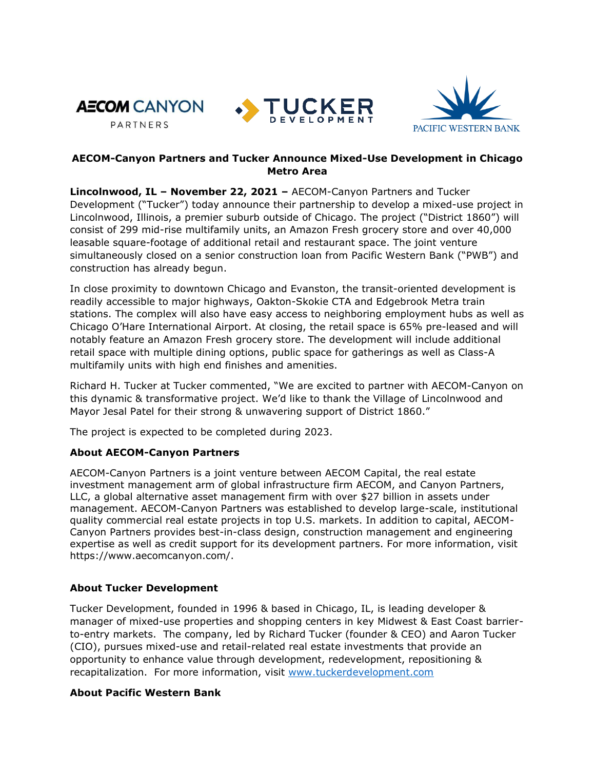





## **AECOM-Canyon Partners and Tucker Announce Mixed-Use Development in Chicago Metro Area**

**Lincolnwood, IL – November 22, 2021 –** AECOM-Canyon Partners and Tucker Development ("Tucker") today announce their partnership to develop a mixed-use project in Lincolnwood, Illinois, a premier suburb outside of Chicago. The project ("District 1860") will consist of 299 mid-rise multifamily units, an Amazon Fresh grocery store and over 40,000 leasable square-footage of additional retail and restaurant space. The joint venture simultaneously closed on a senior construction loan from Pacific Western Bank ("PWB") and construction has already begun.

In close proximity to downtown Chicago and Evanston, the transit-oriented development is readily accessible to major highways, Oakton-Skokie CTA and Edgebrook Metra train stations. The complex will also have easy access to neighboring employment hubs as well as Chicago O'Hare International Airport. At closing, the retail space is 65% pre-leased and will notably feature an Amazon Fresh grocery store. The development will include additional retail space with multiple dining options, public space for gatherings as well as Class-A multifamily units with high end finishes and amenities.

Richard H. Tucker at Tucker commented, "We are excited to partner with AECOM-Canyon on this dynamic & transformative project. We'd like to thank the Village of Lincolnwood and Mayor Jesal Patel for their strong & unwavering support of District 1860."

The project is expected to be completed during 2023.

## **About AECOM-Canyon Partners**

AECOM-Canyon Partners is a joint venture between AECOM Capital, the real estate investment management arm of global infrastructure firm AECOM, and Canyon Partners, LLC, a global alternative asset management firm with over \$27 billion in assets under management. AECOM-Canyon Partners was established to develop large-scale, institutional quality commercial real estate projects in top U.S. markets. In addition to capital, AECOM-Canyon Partners provides best-in-class design, construction management and engineering expertise as well as credit support for its development partners. For more information, visit https://www.aecomcanyon.com/.

## **About Tucker Development**

Tucker Development, founded in 1996 & based in Chicago, IL, is leading developer & manager of mixed-use properties and shopping centers in key Midwest & East Coast barrierto-entry markets. The company, led by Richard Tucker (founder & CEO) and Aaron Tucker (CIO), pursues mixed-use and retail-related real estate investments that provide an opportunity to enhance value through development, redevelopment, repositioning & recapitalization. For more information, visit [www.tuckerdevelopment.com](http://www.tuckerdevelopment.com/) 

## **About Pacific Western Bank**